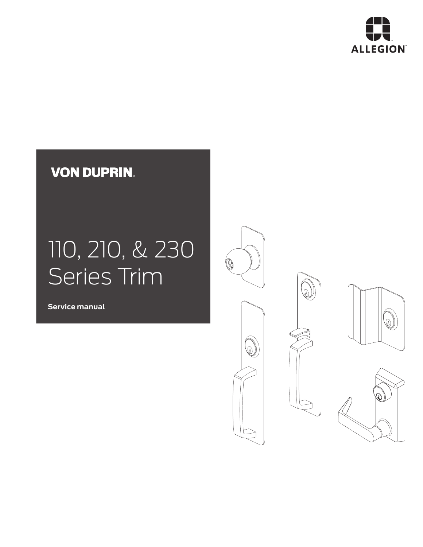

# **VON DUPRIN.**

# 110, 210, & 230 Series Trim

**Service manual**







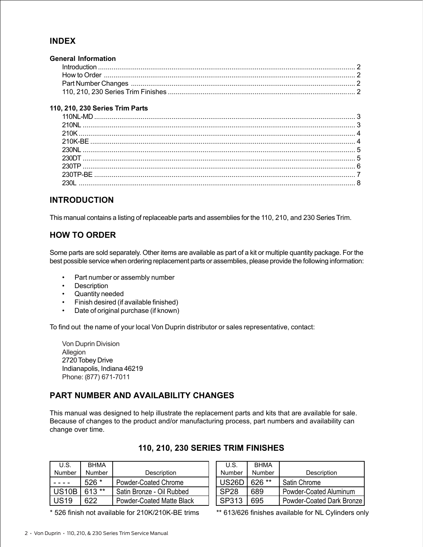#### **INDEX**

| <b>General Information</b> |  |
|----------------------------|--|
|                            |  |
|                            |  |
|                            |  |
|                            |  |
|                            |  |

#### **110, 210, 230 Series Trim Parts**

#### **INTRODUCTION**

This manual contains a listing of replaceable parts and assemblies for the 110, 210, and 230 Series Trim.

#### **HOW TO ORDER**

Some parts are sold separately. Other items are available as part of a kit or multiple quantity package. For the best possible service when ordering replacement parts or assemblies, please provide the following information:

- Part number or assembly number
- Description
- Quantity needed
- Finish desired (if available finished)
- Date of original purchase (if known)

To find out the name of your local Von Duprin distributor or sales representative, contact:

Von Duprin Division Allegion 2720 Tobey Drive Indianapolis, Indiana 46219 Phone: (877) 671-7011

#### **PART NUMBER AND AVAILABILITY CHANGES**

This manual was designed to help illustrate the replacement parts and kits that are available for sale. Because of changes to the product and/or manufacturing process, part numbers and availability can change over time.

| U.S.         | <b>BHMA</b> |                           |
|--------------|-------------|---------------------------|
| Number       | Number      | Description               |
|              | $526*$      | Powder-Coated Chrome      |
| <b>US10B</b> | $613**$     | Satin Bronze - Oil Rubbed |
| US19         | 622.        | Powder-Coated Matte Black |

**110, 210, 230 SERIES TRIM FINISHES**

| U.S.             | <b>BHMA</b> |                           |
|------------------|-------------|---------------------------|
| Number           | Number      | Description               |
| US26D            | 626 **      | <b>Satin Chrome</b>       |
| SP <sub>28</sub> | 689         | Powder-Coated Aluminum    |
| SP313            | 695         | Powder-Coated Dark Bronze |

\* 526 finish not available for 210K/210K-BE trims \*\* 613/626 finishes available for NL Cylinders only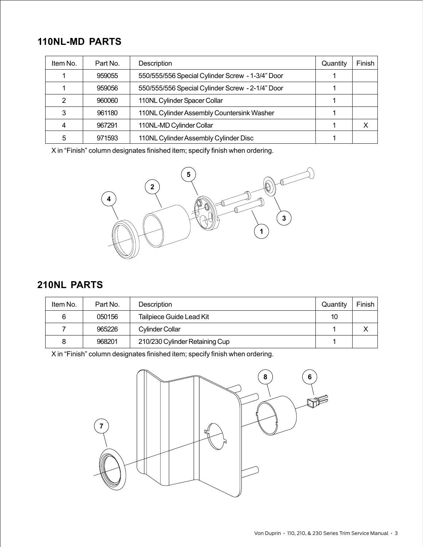### **110NL-MD PARTS**

| Item No. | Part No. | Description                                      | Quantity | Finish |
|----------|----------|--------------------------------------------------|----------|--------|
|          | 959055   | 550/555/556 Special Cylinder Screw - 1-3/4" Door |          |        |
|          | 959056   | 550/555/556 Special Cylinder Screw - 2-1/4" Door |          |        |
| 2        | 960060   | 110NL Cylinder Spacer Collar                     |          |        |
| 3        | 961180   | 110NL Cylinder Assembly Countersink Washer       |          |        |
| 4        | 967291   | 110NL-MD Cylinder Collar                         |          |        |
| 5        | 971593   | 110NL Cylinder Assembly Cylinder Disc            |          |        |

X in "Finish" column designates finished item; specify finish when ordering.



#### **210NL PARTS**

| Item No. | Part No. | <b>Description</b>             | Quantity | Finish I |
|----------|----------|--------------------------------|----------|----------|
| 6        | 050156   | Tailpiece Guide Lead Kit       | 10       |          |
|          | 965226   | Cylinder Collar                |          |          |
| 8        | 968201   | 210/230 Cylinder Retaining Cup |          |          |

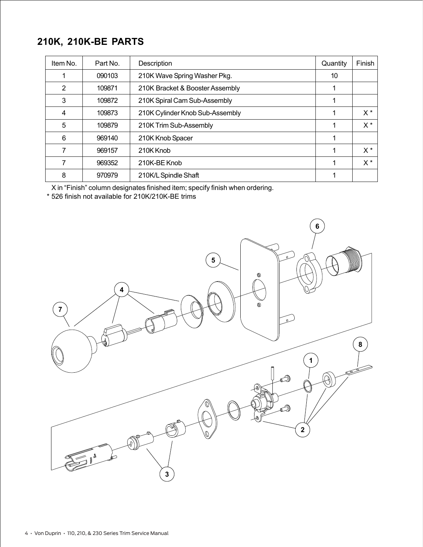# **210K, 210K-BE PARTS**

| Item No. | Part No. | Description                     | Quantity | Finish |
|----------|----------|---------------------------------|----------|--------|
|          | 090103   | 210K Wave Spring Washer Pkg.    | 10       |        |
| 2        | 109871   | 210K Bracket & Booster Assembly |          |        |
| 3        | 109872   | 210K Spiral Cam Sub-Assembly    |          |        |
| 4        | 109873   | 210K Cylinder Knob Sub-Assembly |          | $X^*$  |
| 5        | 109879   | 210K Trim Sub-Assembly          |          | $X^*$  |
| 6        | 969140   | 210K Knob Spacer                |          |        |
|          | 969157   | 210K Knob                       |          | $X^*$  |
|          | 969352   | 210K-BE Knob                    |          | $X^*$  |
| 8        | 970979   | 210K/L Spindle Shaft            |          |        |

X in "Finish" column designates finished item; specify finish when ordering.

\* 526 finish not available for 210K/210K-BE trims

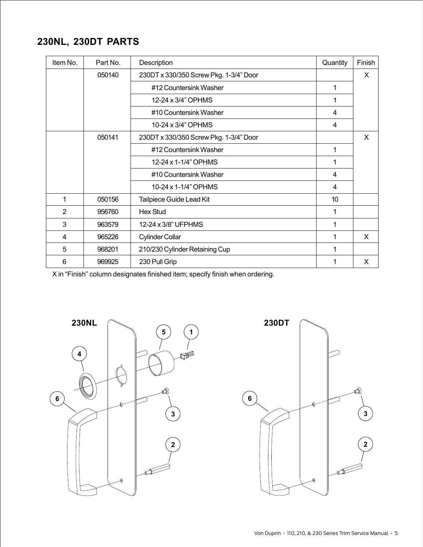# **230NL, 230DT PARTS**

| Item No.       | Part No. | Description                            | Quantity | Finish |
|----------------|----------|----------------------------------------|----------|--------|
|                | 050140   | 230DT x 330/350 Screw Pkg. 1-3/4" Door |          | X      |
|                |          | #12 Countersink Washer                 | 1        |        |
|                |          | 12-24 x 3/4" OPHMS                     | 1        |        |
|                |          | #10 Countersink Washer                 | 4        |        |
|                |          | 10-24 x 3/4" OPHMS                     | 4        |        |
|                | 050141   | 230DT x 330/350 Screw Pkg. 1-3/4" Door |          | X      |
|                |          | #12 Countersink Washer                 | 1        |        |
|                |          | 12-24 x 1-1/4" OPHMS                   | 1        |        |
|                |          | #10 Countersink Washer                 | 4        |        |
|                |          | 10-24 x 1-1/4" OPHMS                   | 4        |        |
| 1              | 050156   | Tailpiece Guide Lead Kit               | 10       |        |
| $\overline{2}$ | 956760   | <b>Hex Stud</b>                        | 1        |        |
| 3              | 963579   | 12-24 x 3/8" UFPHMS                    | 1        |        |
| 4              | 965226   | <b>Cylinder Collar</b>                 | 1        | X      |
| 5              | 968201   | 210/230 Cylinder Retaining Cup         | 1        |        |
| 6              | 969925   | 230 Pull Grip                          |          | X      |



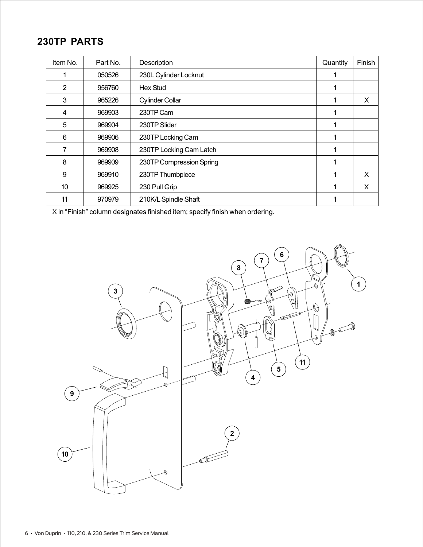# **230TP PARTS**

| Item No. | Part No. | Description              | Quantity | Finish |
|----------|----------|--------------------------|----------|--------|
|          | 050526   | 230L Cylinder Locknut    |          |        |
| 2        | 956760   | Hex Stud                 |          |        |
| 3        | 965226   | <b>Cylinder Collar</b>   |          | X      |
| 4        | 969903   | 230TP Cam                |          |        |
| 5        | 969904   | 230TP Slider             |          |        |
| 6        | 969906   | 230TP Locking Cam        |          |        |
| 7        | 969908   | 230TP Locking Cam Latch  |          |        |
| 8        | 969909   | 230TP Compression Spring |          |        |
| 9        | 969910   | 230TP Thumbpiece         |          | X      |
| 10       | 969925   | 230 Pull Grip            |          | X      |
| 11       | 970979   | 210K/L Spindle Shaft     |          |        |

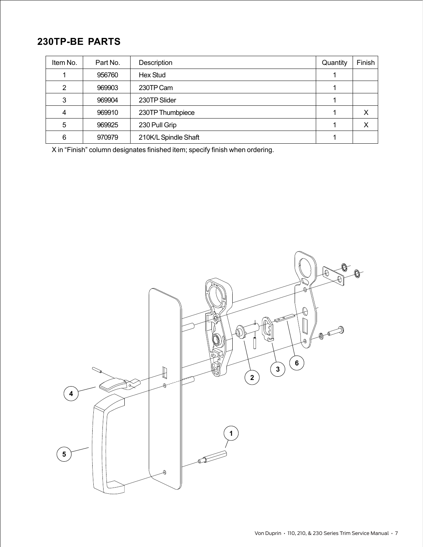# **230TP-BE PARTS**

| Item No. | Part No. | Description          | Quantity | Finish      |
|----------|----------|----------------------|----------|-------------|
|          | 956760   | Hex Stud             |          |             |
| 2        | 969903   | 230TP Cam            |          |             |
| 3        | 969904   | 230TP Slider         |          |             |
|          | 969910   | 230TP Thumbpiece     |          | X           |
| 5        | 969925   | 230 Pull Grip        |          | $\check{ }$ |
| 6        | 970979   | 210K/L Spindle Shaft |          |             |

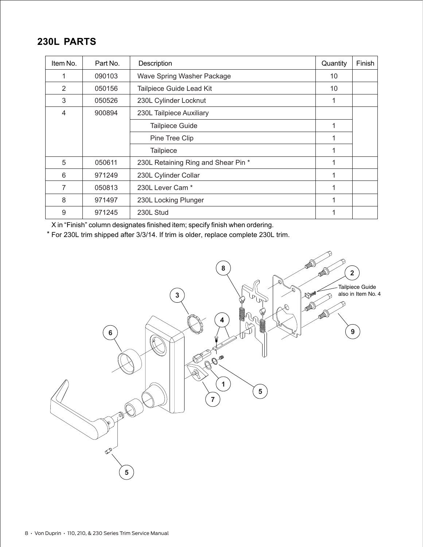# **230L PARTS**

| Item No. | Part No. | Description                         | Quantity | Finish |
|----------|----------|-------------------------------------|----------|--------|
|          | 090103   | Wave Spring Washer Package          | 10       |        |
| 2        | 050156   | Tailpiece Guide Lead Kit            | 10       |        |
| 3        | 050526   | 230L Cylinder Locknut               | 1        |        |
| 4        | 900894   | 230L Tailpiece Auxiliary            |          |        |
|          |          | <b>Tailpiece Guide</b>              | 1        |        |
|          |          | Pine Tree Clip                      | 1        |        |
|          |          | <b>Tailpiece</b>                    | 1        |        |
| 5        | 050611   | 230L Retaining Ring and Shear Pin * | 1        |        |
| 6        | 971249   | 230L Cylinder Collar                | 1        |        |
| 7        | 050813   | 230L Lever Cam <sup>*</sup>         | 1        |        |
| 8        | 971497   | 230L Locking Plunger                | 1        |        |
| 9        | 971245   | 230L Stud                           |          |        |

X in "Finish" column designates finished item; specify finish when ordering.

For 230L trim shipped after 3/3/14. If trim is older, replace complete 230L trim. \*